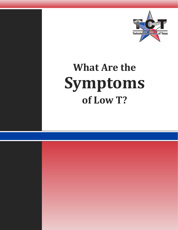

# **What Are the Symptoms of Low T?**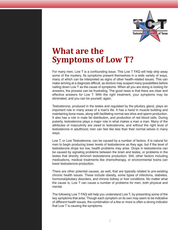

### **What are the Symptoms of Low T?**

For many men, Low T is a confounding issue. This Low T FAQ will help strip away some of the mystery. Its symptoms present themselves in a wide variety of ways, many of which can be interpreted as signs of other health-related issues. This can make arriving at a diagnosis difficult, as doctors may suspect many possibilities before nailing down Low T as the cause of symptoms. When all you are doing is looking for answers, the process can be frustrating. The good news is that there are clear and effective answers for Low T. With the right treatment, your symptoms may be eliminated, and you can be yourself, again.

Testosterone, produced in the testes and regulated by the pituitary gland, plays an important role in many areas of a man's life. It has a hand in muscle building and maintaining bone mass, along with facilitating normal sex drive and sperm production. It also has a role in male fat distribution, and production of red blood cells. During puberty, testosterone plays a major role in what makes a man a man. Many of the attributes of masculinity are owed to testosterone, and without the right level of testosterone in adulthood; men can feel like less than their normal selves in many ways.

Low T, or Low Testosterone, can be caused by a number of factors. It is natural for men to begin producing lower levels of testosterone as they age, but if the level of testosterone drops too low, health problems may arise. Drops in testosterone can be caused by signaling problems between the brain and testes, or problems in the testes that directly diminish testosterone production. Still, other factors including medications, medical treatments like chemotherapy, or environmental toxins can lower testosterone production.

There are other potential causes, as well, that are typically related to pre-existing chronic health issues. These include obesity, some types of infections, diabetes, hormonal/pituitary disorders, and chronic kidney or liver conditions. No matter what the cause is, Low T can cause a number of problems for men, both physical and mental.

The following Low T FAQ will help you understand Low T, by presenting some of the key symptoms that arise. Though each symptom on its own may seem to be indicative of different health issues, the combination of a few or more is often a strong indicator that Low T is causing the symptoms.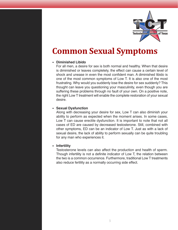

### **Common Sexual Symptoms**

#### **• Diminished Libido**

For all men, a desire for sex is both normal and healthy. When that desire is diminished or leaves completely, the effect can cause a certain level of shock and unease in even the most confident man. A diminished libido is one of the most common symptoms of Low T. It is also one of the most frustrating. Why would you suddenly lose the desire for sex suddenly? This thought can leave you questioning your masculinity, even though you are suffering these problems through no fault of your own. On a positive note, the right Low T treatment will enable the complete restoration of your sexual desire.

#### **• Sexual Dysfunction**

Along with decreasing your desire for sex, Low T can also diminish your ability to perform as expected when the moment arises. In some cases, Low T can cause erectile dysfunction. It is important to note that not all cases of ED are caused by decreased testosterone. Still, combined with other symptoms, ED can be an indicator of Low T. Just as with a lack of sexual desire, the lack of ability to perform sexually can be quite troubling for any man who experiences it.

#### **• Infertility**

Testosterone levels can also affect the production and health of sperm. Though infertility is not a definite indicator of Low T, the relation between the two is a common occurrence. Furthermore, traditional Low T treatments also reduce fertility as a normally occurring side effect.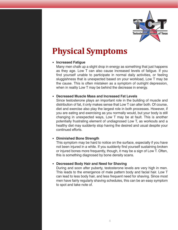

## **Physical Symptoms**

#### **• Increased Fatigue**

Many men chalk up a slight drop in energy as something that just happens as they age. Low T can also cause increased levels of fatigue. If you find yourself unable to participate in normal daily activities, or feeling sluggishness that is unexpected based on your workload, Low T may be the cause. This is often mistaken as a symptom of outright depression, when in reality Low T may be behind the decrease in energy.

#### **• Decreased Muscle Mass and Increased Fat Levels**

Since testosterone plays an important role in the building of muscle and distribution of fat, it only makes sense that Low T can alter both. Of course, diet and exercise also play the largest role in both processes. However, if you are eating and exercising as you normally would, but your body is still changing in unexpected ways, Low T may be at fault. This is another potentially frustrating element of undiagnosed Low T, as workouts and a healthy diet may suddenly stop having the desired and usual despite your continued efforts.

#### **• Diminished Bone Strength**

This symptom may be hard to notice on the surface, especially if you have not been injured in a while. If you suddenly find yourself sustaining broken or injured bones more frequently, though, it may be a sign of Low T. Often, this is something diagnosed by bone density scans.

#### **• Decreased Body Hair and Need for Shaving**

During and soon after puberty, testosterone levels are very high in men. This leads to the emergence of male pattern body and facial hair. Low T can lead to less body hair, and less frequent need for shaving. Since most men have fairly regularly shaving schedules, this can be an easy symptom to spot and take note of.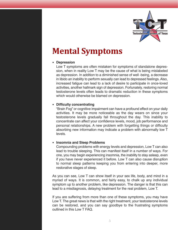

### **Mental Symptoms**

#### **• Depression**

Low T symptoms are often mistaken for symptoms of standalone depression, when in reality Low T may be the cause of what is being mislabeled as depression. In addition to a diminished sense of well -being, a decrease in libido an inability to perform sexually can lead to depressed feelings.Also, increased fatigue can lead to a lack of desire to participate in once-loved activities, another hallmark sign of depression. Fortunately, restoring normal testosterone levels often leads to dramatic reduction in these symptoms which would otherwise be blamed on depression.

#### **• Difficulty concentrating**

"Brain Fog" or cognitive impairment can have a profound effect on your daily activities. It may be more noticeable as the day wears on since your testosterone levels gradually fall throughout the day. This inability to concentrate can affect your confidence levels, mood, job performance and personal relationships. A new problem with forgetting things or difficulty absorbing new information may indicate a problem with abnormally low T levels.

#### **• Insomnia and Sleep Problems**

Compounding problems with energy levels and depression, Low T can also lead to trouble sleeping. This can manifest itself in a number of ways. For one, you may begin experiencing insomnia, the inability to stay asleep, even if you have never experienced it before. Low T can also cause disruption to normal sleep patterns keeping you from entering into deeper, more restorative stages of sleep.

As you can see, Low T can show itself in your sex life, body, and mind in a myriad of ways. It is common, and fairly easy, to chalk up any individual symptom up to another problem, like depression. The danger is that this can lead to a misdiagnosis, delaying treatment for the real problem, Low T.

If you are suffering from more than one of these symptoms, you may have Low T. The great news is that with the right treatment, your testosterone levels can be restored, and you can say goodbye to the frustrating symptoms outlined in this Low T FAQ.